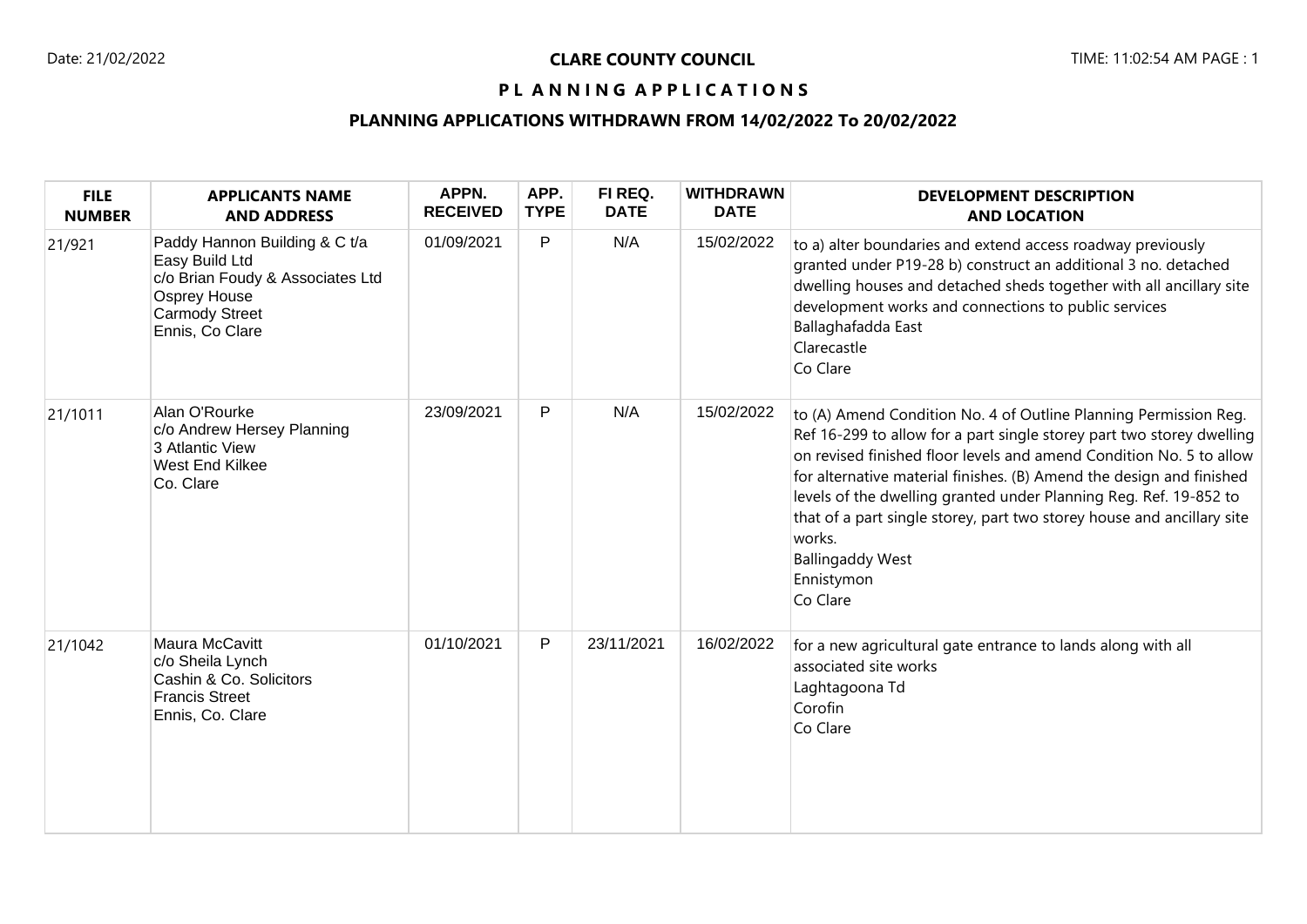# PL ANNING APPLICATIONS

# **PLANNING APPLICATIONS WITHDRAWN FROM 14/02/2022 To 20/02/2022**

| <b>FILE</b><br><b>NUMBER</b> | <b>APPLICANTS NAME</b><br><b>AND ADDRESS</b>                                                                                                           | APPN.<br><b>RECEIVED</b> | APP.<br><b>TYPE</b> | FI REQ.<br><b>DATE</b> | <b>WITHDRAWN</b><br><b>DATE</b> | <b>DEVELOPMENT DESCRIPTION</b><br><b>AND LOCATION</b>                                                                                                                                                                                                                                                                                                                                                                                                                                                  |
|------------------------------|--------------------------------------------------------------------------------------------------------------------------------------------------------|--------------------------|---------------------|------------------------|---------------------------------|--------------------------------------------------------------------------------------------------------------------------------------------------------------------------------------------------------------------------------------------------------------------------------------------------------------------------------------------------------------------------------------------------------------------------------------------------------------------------------------------------------|
| 21/921                       | Paddy Hannon Building & C t/a<br>Easy Build Ltd<br>c/o Brian Foudy & Associates Ltd<br><b>Osprey House</b><br><b>Carmody Street</b><br>Ennis, Co Clare | 01/09/2021               | P                   | N/A                    | 15/02/2022                      | to a) alter boundaries and extend access roadway previously<br>granted under P19-28 b) construct an additional 3 no. detached<br>dwelling houses and detached sheds together with all ancillary site<br>development works and connections to public services<br>Ballaghafadda East<br>Clarecastle<br>Co Clare                                                                                                                                                                                          |
| 21/1011                      | Alan O'Rourke<br>c/o Andrew Hersey Planning<br>3 Atlantic View<br>West End Kilkee<br>Co. Clare                                                         | 23/09/2021               | P                   | N/A                    | 15/02/2022                      | to (A) Amend Condition No. 4 of Outline Planning Permission Reg.<br>Ref 16-299 to allow for a part single storey part two storey dwelling<br>on revised finished floor levels and amend Condition No. 5 to allow<br>for alternative material finishes. (B) Amend the design and finished<br>levels of the dwelling granted under Planning Reg. Ref. 19-852 to<br>that of a part single storey, part two storey house and ancillary site<br>works.<br><b>Ballingaddy West</b><br>Ennistymon<br>Co Clare |
| 21/1042                      | Maura McCavitt<br>c/o Sheila Lynch<br>Cashin & Co. Solicitors<br><b>Francis Street</b><br>Ennis, Co. Clare                                             | 01/10/2021               | P                   | 23/11/2021             | 16/02/2022                      | for a new agricultural gate entrance to lands along with all<br>associated site works<br>Laghtagoona Td<br>Corofin<br>Co Clare                                                                                                                                                                                                                                                                                                                                                                         |